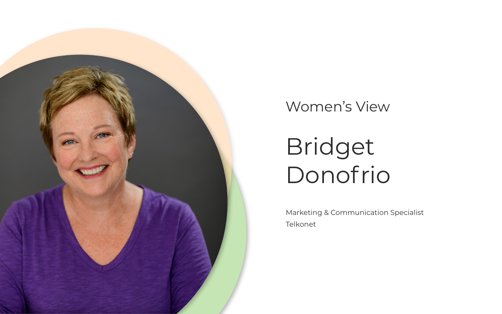### Women's View



Bridget Donofrio

Marketing & Communication Specialist Telkonet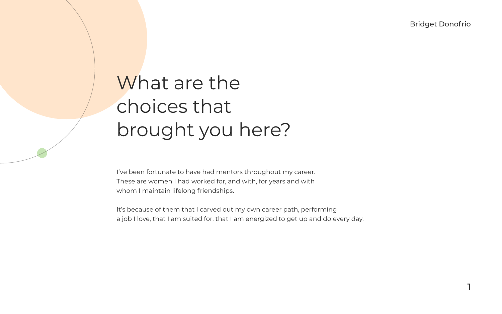1

Bridget Donofrio

I've been fortunate to have had mentors throughout my career. These are women I had worked for, and with, for years and with whom I maintain lifelong friendships.

It's because of them that I carved out my own career path, performing a job I love, that I am suited for, that I am energized to get up and do every day.

# What are the choices that brought you here?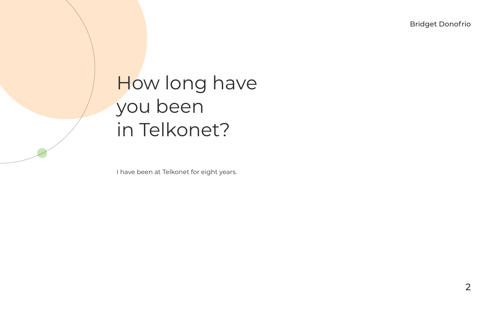I have been at Telkonet for eight years.

### How long have you been in Telkonet?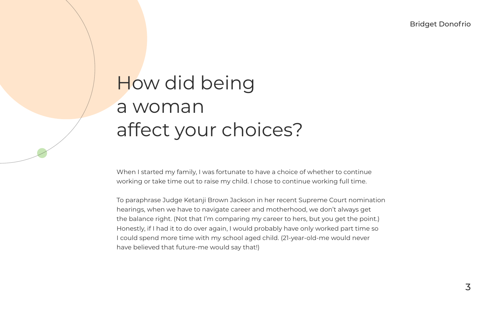When I started my family, I was fortunate to have a choice of whether to continue working or take time out to raise my child. I chose to continue working full time.

To paraphrase Judge Ketanji Brown Jackson in her recent Supreme Court nomination hearings, when we have to navigate career and motherhood, we don't always get the balance right. (Not that I'm comparing my career to hers, but you get the point.) Honestly, if I had it to do over again, I would probably have only worked part time so I could spend more time with my school aged child. (21-year-old-me would never have believed that future-me would say that!)

# How did being a woman affect your choices?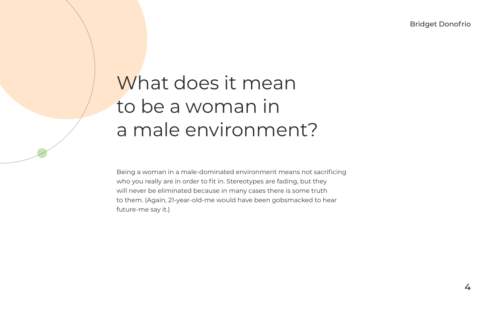4

Bridget Donofrio

Being a woman in a male-dominated environment means not sacrificing who you really are in order to fit in. Stereotypes are fading, but they will never be eliminated because in many cases there is some truth to them. (Again, 21-year-old-me would have been gobsmacked to hear future-me say it.)

# What does it mean to be a woman in a male environment?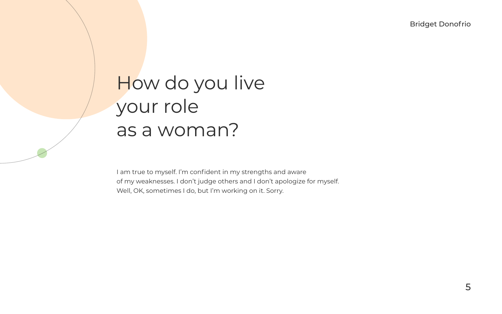I am true to myself. I'm confident in my strengths and aware of my weaknesses. I don't judge others and I don't apologize for myself. Well, OK, sometimes I do, but I'm working on it. Sorry.

### How do you live your role as a woman?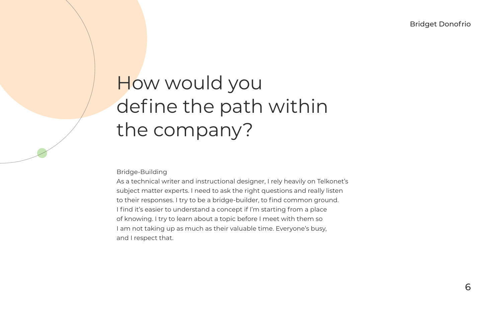Bridge-Building

As a technical writer and instructional designer, I rely heavily on Telkonet's subject matter experts. I need to ask the right questions and really listen to their responses. I try to be a bridge-builder, to find common ground. I find it's easier to understand a concept if I'm starting from a place of knowing. I try to learn about a topic before I meet with them so I am not taking up as much as their valuable time. Everyone's busy, and I respect that.

# How would you define the path within the company?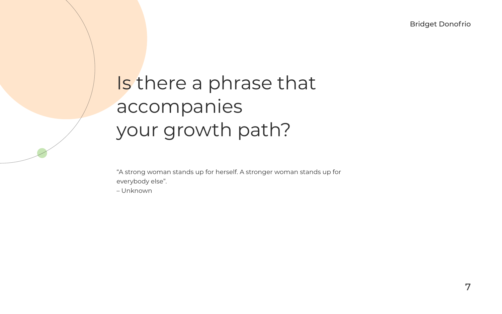7

Bridget Donofrio

"A strong woman stands up for herself. A stronger woman stands up for everybody else".

– Unknown

# Is there a phrase that accompanies your growth path?